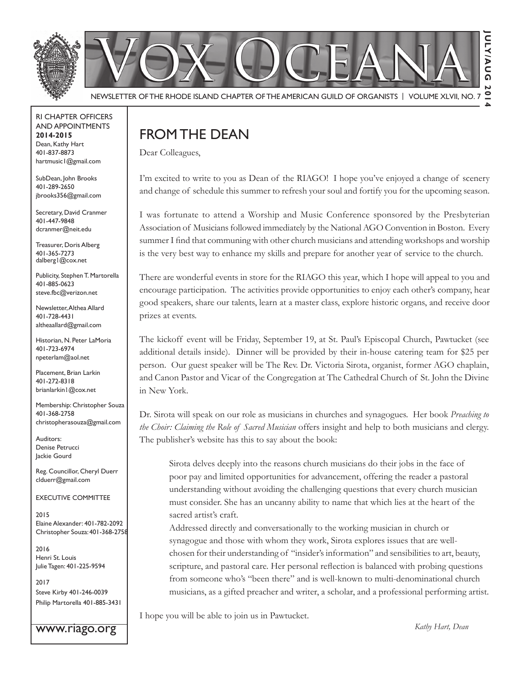

rI Chapter offICers aNd appoINtmeNts **2014-2015** Dean, Kathy Hart 401-837-8873 hartmusic1@gmail.com

SubDean, John Brooks 401-289-2650 jbrooks356@gmail.com

Secretary, David Cranmer 401-447-9848 dcranmer@neit.edu

Treasurer, Doris Alberg 401-365-7273 dalberg1@cox.net

Publicity, Stephen T. Martorella 401-885-0623 steve.fbc@verizon.net

Newsletter, Althea Allard 401-728-4431 altheaallard@gmail.com

historian, N. peter lamoria 401-723-6974 npeterlam@aol.net

Placement, Brian Larkin 401-272-8318 brianlarkin1@cox.net

Membership: Christopher Souza 401-368-2758 christopherasouza@gmail.com

Auditors: Denise Petrucci Jackie Gourd

Reg. Councillor, Cheryl Duerr clduerr@gmail.com

#### eXeCutIVe CommIttee

2015 Elaine Alexander: 401-782-2092 Christopher souza: 401-368-2758

2016 Henri St. Louis Julie Tagen: 401-225-9594

2017 steve Kirby 401-246-0039 Philip Martorella 401-885-3431

www.riago.org

## FROM THE DEAN

Dear Colleagues,

I'm excited to write to you as Dean of the RIAGO! I hope you've enjoyed a change of scenery and change of schedule this summer to refresh your soul and fortify you for the upcoming season.

I was fortunate to attend a Worship and Music Conference sponsored by the Presbyterian Association of Musicians followed immediately by the National AGO Convention in Boston. Every summer I find that communing with other church musicians and attending workshops and worship is the very best way to enhance my skills and prepare for another year of service to the church.

There are wonderful events in store for the RIAGO this year, which I hope will appeal to you and encourage participation. The activities provide opportunities to enjoy each other's company, hear good speakers, share our talents, learn at a master class, explore historic organs, and receive door prizes at events.

The kickoff event will be Friday, September 19, at St. Paul's Episcopal Church, Pawtucket (see additional details inside). Dinner will be provided by their in-house catering team for \$25 per person. Our guest speaker will be The Rev. Dr. Victoria Sirota, organist, former AGO chaplain, and Canon Pastor and Vicar of the Congregation at The Cathedral Church of St. John the Divine in New York.

Dr. Sirota will speak on our role as musicians in churches and synagogues. Her book *Preaching to the Choir: Claiming the Role of Sacred Musician* offers insight and help to both musicians and clergy. The publisher's website has this to say about the book:

Sirota delves deeply into the reasons church musicians do their jobs in the face of poor pay and limited opportunities for advancement, offering the reader a pastoral understanding without avoiding the challenging questions that every church musician must consider. She has an uncanny ability to name that which lies at the heart of the sacred artist's craft.

Addressed directly and conversationally to the working musician in church or synagogue and those with whom they work, Sirota explores issues that are wellchosen for their understanding of "insider's information" and sensibilities to art, beauty, scripture, and pastoral care. Her personal reflection is balanced with probing questions from someone who's "been there" and is well-known to multi-denominational church musicians, as a gifted preacher and writer, a scholar, and a professional performing artist.

I hope you will be able to join us in Pawtucket.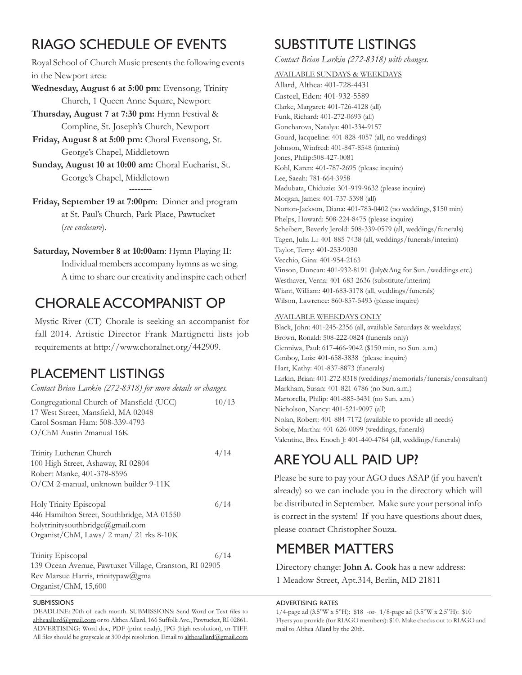# rIaGo sChedule of eVeNts

Royal School of Church Music presents the following events in the Newport area:

- **Wednesday, August 6 at 5:00 pm: Evensong, Trinity** Church, 1 Queen Anne Square, Newport
- **Thursday, August 7 at 7:30 pm:** Hymn Festival & Compline, St. Joseph's Church, Newport
- Friday, August 8 at 5:00 pm: Choral Evensong, St. George's Chapel, Middletown
- Sunday, August 10 at 10:00 am: Choral Eucharist, St. George's Chapel, Middletown **--------**
- Friday, September 19 at 7:00pm: Dinner and program at St. Paul's Church, Park Place, Pawtucket *see enclosure*).

#### **Saturday, November 8 at 10:00am:** Hymn Playing II:

Individual members accompany hymns as we sing. A time to share our creativity and inspire each other!

## Chorale aCCompaNIst op

Mystic River (CT) Chorale is seeking an accompanist for fall 2014. Artistic Director Frank Martignetti lists job requirements at http://www.choralnet.org/442909.

### PLACEMENT LISTINGS

| Contact Brian Larkin (272-8318) for more details or changes.                    |       |
|---------------------------------------------------------------------------------|-------|
| Congregational Church of Mansfield (UCC)<br>17 West Street, Mansfield, MA 02048 | 10/13 |
| Carol Sosman Ham: 508-339-4793                                                  |       |
| O/ChM Austin 2manual 16K                                                        |       |
| Trinity Lutheran Church                                                         | 4/14  |
| 100 High Street, Ashaway, RI 02804                                              |       |
| Robert Manke, 401-378-8596                                                      |       |
| O/CM 2-manual, unknown builder 9-11K                                            |       |
| Holy Trinity Episcopal                                                          | 6/14  |
| 446 Hamilton Street, Southbridge, MA 01550                                      |       |
| holytrinitysouthbridge@gmail.com                                                |       |
| Organist/ChM, Laws/ 2 man/ 21 rks 8-10K                                         |       |
| Trinity Episcopal                                                               | 6/14  |
| 139 Ocean Avenue, Pawtuxet Village, Cranston, RI 02905                          |       |
| Rev Marsue Harris, trinitypaw@gma                                               |       |

Organist/ChM, 15,600

#### **SUBMISSIONS**

DEADLINE: 20th of each month. SUBMISSIONS: Send Word or Text files to altheaallard@gmail.com or to Althea Allard, 166 Suffolk Ave., Pawtucket, RI 02861. ADVERTISING: Word doc, PDF (print ready), JPG (high resolution), or TIFF. All files should be grayscale at 300 dpi resolution. Email to altheaallard@gmail.com

# suBstItute lIstINGs

*Contact Brian Larkin (272-8318) with changes.*

AVAILABLE SUNDAYS & WEEKDAYS

Allard, Althea: 401-728-4431 Casteel, Eden: 401-932-5589 Clarke, Margaret: 401-726-4128 (all) Funk, Richard: 401-272-0693 (all) Goncharova, Natalya: 401-334-9157 Gourd, Jacqueline: 401-828-4057 (all, no weddings) Johnson, Winfred: 401-847-8548 (interim) Jones, Philip:508-427-0081 Kohl, Karen: 401-787-2695 (please inquire) Lee, Saeah: 781-664-3958 Madubata, Chiduzie: 301-919-9632 (please inquire) Morgan, James: 401-737-5398 (all) Norton-Jackson, Diana: 401-783-0402 (no weddings, \$150 min) Phelps, Howard: 508-224-8475 (please inquire) Scheibert, Beverly Jerold: 508-339-0579 (all, weddings/funerals) Tagen, Julia L.: 401-885-7438 (all, weddings/funerals/interim) Taylor, Terry: 401-253-9030 Vecchio, Gina: 401-954-2163 Vinson, Duncan: 401-932-8191 (July&Aug for Sun./weddings etc.) Westhaver, Verna: 401-683-2636 (substitute/interim) Wiant, William: 401-683-3178 (all, weddings/funerals) Wilson, Lawrence: 860-857-5493 (please inquire)

#### AVAILABLE WEEKDAYS ONLY

Black, John: 401-245-2356 (all, available Saturdays & weekdays) Brown, Ronald: 508-222-0824 (funerals only) Cienniwa, Paul: 617-466-9042 (\$150 min, no Sun. a.m.) Conboy, Lois: 401-658-3838 (please inquire) Hart, Kathy: 401-837-8873 (funerals) Larkin, Brian: 401-272-8318 (weddings/memorials/funerals/consultant) Markham, Susan: 401-821-6786 (no Sun. a.m.) Martorella, Philip: 401-885-3431 (no Sun. a.m.) Nicholson, Nancy: 401-521-9097 (all) Nolan, Robert: 401-884-7172 (available to provide all needs) Sobaje, Martha: 401-626-0099 (weddings, funerals) Valentine, Bro. Enoch J: 401-440-4784 (all, weddings/funerals)

# are you all paId up?

Please be sure to pay your AGO dues ASAP (if you haven't already) so we can include you in the directory which will be distributed in September. Make sure your personal info is correct in the system! If you have questions about dues, please contact Christopher Souza.

## memBer matters

Directory change: **John A. Cook** has a new address: 1 Meadow Street, Apt.314, Berlin, MD 21811

adVertIsING rates

 $1/4$ -page ad (3.5"W x 5"H): \$18 -or-  $1/8$ -page ad (3.5"W x 2.5"H): \$10 Flyers you provide (for RIAGO members): \$10. Make checks out to RIAGO and mail to Althea Allard by the 20th.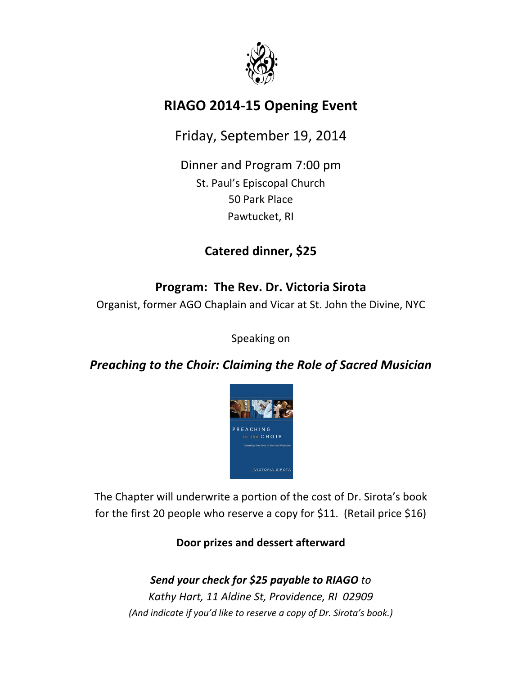

## **RIAGO 2014-15 Opening Event**

Friday, September 19, 2014

Dinner and Program 7:00 pm St. Paul's Episcopal Church 50 Park Place Pawtucket, RI

## **Catered dinner, \$25**

## Program: The Rev. Dr. Victoria Sirota

Organist, former AGO Chaplain and Vicar at St. John the Divine, NYC

Speaking on

### *Preaching to the Choir: Claiming the Role of Sacred Musician*



The Chapter will underwrite a portion of the cost of Dr. Sirota's book for the first 20 people who reserve a copy for \$11. (Retail price \$16)

**Door prizes and dessert afterward** 

*Send\*your\*check\*for\*\$25 payable\*to\*RIAGO to* Kathy Hart, 11 Aldine St, Providence, RI 02909 *(And indicate if you'd like to reserve a copy of Dr. Sirota's book.)*